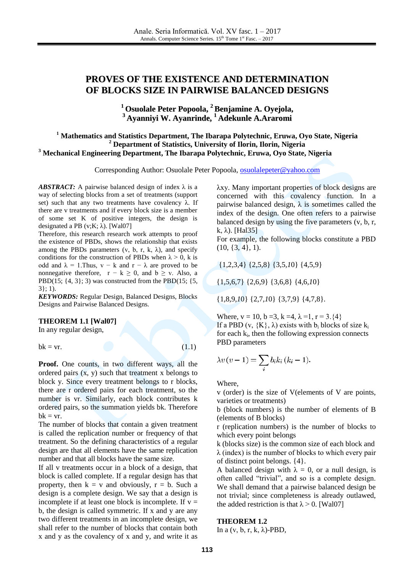# **PROVES OF THE EXISTENCE AND DETERMINATION OF BLOCKS SIZE IN PAIRWISE BALANCED DESIGNS**

**<sup>1</sup> Osuolale Peter Popoola, <sup>2</sup> Benjamine A. Oyejola, <sup>3</sup> Ayanniyi W. Ayanrinde, <sup>1</sup> Adekunle A.Araromi**

## **<sup>1</sup> Mathematics and Statistics Department, The Ibarapa Polytechnic, Eruwa, Oyo State, Nigeria <sup>2</sup> Department of Statistics, University of Ilorin, Ilorin, Nigeria <sup>3</sup> Mechanical Engineering Department, The Ibarapa Polytechnic, Eruwa, Oyo State, Nigeria**

Corresponding Author: Osuolale Peter Popoola, [osuolalepeter@yahoo.com](mailto:osuolalepeter@yahoo.com)

*ABSTRACT:* A pairwise balanced design of index  $\lambda$  is a way of selecting blocks from a set of treatments (support set) such that any two treatments have covalency  $\lambda$ . If there are v treatments and if every block size is a member of some set K of positive integers, the design is designated a PB (v;K;  $\lambda$ ). [Wal07]

Therefore, this research research work attempts to proof the existence of PBDs, shows the relationship that exists among the PBDs parameters  $(v, b, r, k, \lambda)$ , and specify conditions for the construction of PBDs when  $\lambda > 0$ , k is odd and  $\lambda = 1$ . Thus, v – k and r –  $\lambda$  are proved to be nonnegative therefore,  $r - k \ge 0$ , and  $b \ge v$ . Also, a PBD(15;  $\{4, 3\}$ ; 3) was constructed from the PBD(15;  $\{5,$ 3}; 1).

*KEYWORDS:* Regular Design, Balanced Designs, Blocks Designs and Pairwise Balanced Designs.

#### **THEOREM 1.1 [Wal07]**

In any regular design,

 $bk = vr.$  (1.1)

**Proof.** One counts, in two different ways, all the ordered pairs  $(x, y)$  such that treatment x belongs to block y. Since every treatment belongs to r blocks, there are r ordered pairs for each treatment, so the number is vr. Similarly, each block contributes k ordered pairs, so the summation yields bk. Therefore  $bk = vr.$ 

The number of blocks that contain a given treatment is called the replication number or frequency of that treatment. So the defining characteristics of a regular design are that all elements have the same replication number and that all blocks have the same size.

If all v treatments occur in a block of a design, that block is called complete. If a regular design has that property, then  $k = v$  and obviously,  $r = b$ . Such a design is a complete design. We say that a design is incomplete if at least one block is incomplete. If  $v =$ b, the design is called symmetric. If x and y are any two different treatments in an incomplete design, we shall refer to the number of blocks that contain both x and y as the covalency of x and y, and write it as

λxy. Many important properties of block designs are concerned with this covalency function. In a pairwise balanced design,  $\lambda$  is sometimes called the index of the design. One often refers to a pairwise balanced design by using the five parameters (v, b, r, k,  $\lambda$ ). [Hal35]

For example, the following blocks constitute a PBD  $(10, \{3, 4\}, 1)$ .

{1*,*2*,*3*,*4} {2*,*5*,*8} {3*,*5*,1*0} {4*,*5*,*9}

{1*,*5*,*6*,*7} {2*,*6*,*9} {3*,*6*,*8} {4*,*6*,1*0}

{1*,*8*,*9*,1*0} {2*,*7*,1*0} {3*,*7*,*9} {4*,*7*,*8}*.*

Where,  $v = 10$ ,  $b = 3$ ,  $k = 4$ ,  $\lambda = 1$ ,  $r = 3$ .  $\{4\}$ If a PBD (v,  $\{K\}$ ,  $\lambda$ ) exists with  $b_i$  blocks of size  $k_i$ for each  $k_i$ , then the following expression connects PBD parameters

$$
\lambda v\left(v-1\right) = \sum_{i} b_i k_i \left(k_i - 1\right).
$$

Where,

v (order) is the size of V(elements of V are points, varieties or treatments)

b (block numbers) is the number of elements of B (elements of B blocks)

r (replication numbers) is the number of blocks to which every point belongs

k (blocks size) is the common size of each block and  $\lambda$  (index) is the number of blocks to which every pair of distinct point belongs. {4}.

A balanced design with  $\lambda = 0$ , or a null design, is often called "trivial", and so is a complete design. We shall demand that a pairwise balanced design be not trivial; since completeness is already outlawed, the added restriction is that  $\lambda > 0$ . [Wal07]

#### **THEOREM 1.2**

In a  $(v, b, r, k, \lambda)$ -PBD,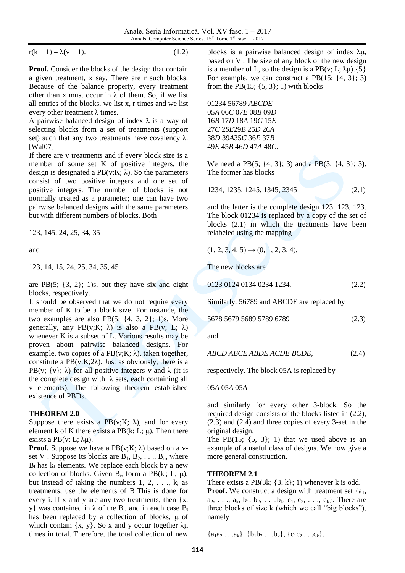$r(k - 1) = \lambda(v - 1)$ .

$$
(1.2)
$$

Proof. Consider the blocks of the design that contain a given treatment, x say. There are r such blocks. Because of the balance property, every treatment other than x must occur in  $\lambda$  of them. So, if we list all entries of the blocks, we list x, r times and we list every other treatment  $\lambda$  times.

A pairwise balanced design of index  $\lambda$  is a way of selecting blocks from a set of treatments (support set) such that any two treatments have covalency  $\lambda$ . [Wal07]

If there are v treatments and if every block size is a member of some set K of positive integers, the design is designated a  $PB(v;K; \lambda)$ . So the parameters consist of two positive integers and one set of positive integers. The number of blocks is not normally treated as a parameter; one can have two pairwise balanced designs with the same parameters but with different numbers of blocks. Both

123, 145, 24, 25, 34, 35

and

123, 14, 15, 24, 25, 34, 35, 45

are PB $(5; \{3, 2\}; 1)$ s, but they have six and eight blocks, respectively.

It should be observed that we do not require every member of K to be a block size. For instance, the two examples are also PB(5; {4, 3, 2}; 1)s. More generally, any PB(v; K;  $\lambda$ ) is also a PB(v; L;  $\lambda$ ) whenever K is a subset of L. Various results may be proven about pairwise balanced designs. For example, two copies of a  $PB(v;K; \lambda)$ , taken together, constitute a  $PB(v;K;2\lambda)$ . Just as obviously, there is a PB(v;  $\{v\}$ ;  $\lambda$ ) for all positive integers v and  $\lambda$  (it is the complete design with  $\lambda$  sets, each containing all v elements). The following theorem established existence of PBDs.

# **THEOREM 2.0**

Suppose there exists a PB(v;K;  $\lambda$ ), and for every element k of K there exists a PB $(k; L; \mu)$ . Then there exists a PB(v; L;  $\lambda \mu$ ).

**Proof.** Suppose we have a  $PB(v;K; \lambda)$  based on a vset V. Suppose its blocks are  $B_1, B_2, \ldots, B_n$ , where  $B_i$  has  $k_i$  elements. We replace each block by a new collection of blocks. Given  $B_i$ , form a PB $(k_i; L; \mu)$ , but instead of taking the numbers  $1, 2, \ldots, k_i$  as treatments, use the elements of B This is done for every i. If x and y are any two treatments, then  $\{x,$ y} was contained in  $\lambda$  of the B<sub>i</sub>, and in each case B<sub>i</sub> has been replaced by a collection of blocks, μ of which contain  $\{x, y\}$ . So x and y occur together  $\lambda \mu$ times in total. Therefore, the total collection of new

blocks is a pairwise balanced design of index  $\lambda \mu$ , based on V . The size of any block of the new design is a member of L, so the design is a PB(v; L;  $\lambda \mu$ ).{5} For example, we can construct a PB $(15; \{4, 3\}; 3)$ from the PB $(15; \{5, 3\}; 1)$  with blocks

01234 56789 *ABCDE A* 06*C* 07*E* 08*B* 09*D B* 17*D* 18*A* 19*C* 15*E C* 2*SE*29*B* 25*D* 26*A D* 39*A*35*C* 36*E* 37*B E* 45*B* 46*D* 47*A* 48*C*.

We need a PB(5; {4, 3}; 3) and a PB(3; {4, 3}; 3). The former has blocks

$$
1234, 1235, 1245, 1345, 2345 \tag{2.1}
$$

and the latter is the complete design 123, 123, 123*.*  The block 01234 is replaced by a copy of the set of blocks (2.1) in which the treatments have been relabeled using the mapping

$$
(1, 2, 3, 4, 5) \rightarrow (0, 1, 2, 3, 4).
$$

The new blocks are

0123 0124 0134 0234 1234*.* (2.2)

Similarly, 56789 and ABCDE are replaced by

| 5678 5679 5689 5789 6789 |  |  |  | (2.3) |
|--------------------------|--|--|--|-------|
|--------------------------|--|--|--|-------|

and

*ABCD ABCE ABDE ACDE BCDE,* (2.4)

respectively. The block 05A is replaced by

05*A* 05*A* 05*A*

and similarly for every other 3-block. So the required design consists of the blocks listed in (2.2), (2.3) and (2.4) and three copies of every 3-set in the original design.

The PB $(15; \{5, 3\}; 1)$  that we used above is an example of a useful class of designs. We now give a more general construction.

# **THEOREM 2.1**

There exists a PB $(3k; \{3, k\}; 1)$  whenever k is odd. **Proof.** We construct a design with treatment set  $\{a_1, a_2, \ldots, a_n\}$  $a_2, \ldots, a_k, b_1, b_2, \ldots, b_k, c_1, c_2, \ldots, c_k$ . There are three blocks of size k (which we call "big blocks"), namely

 ${a_1a_2 \ldots a_k}, {b_1b_2 \ldots b_k}, {c_1c_2 \ldots c_k}.$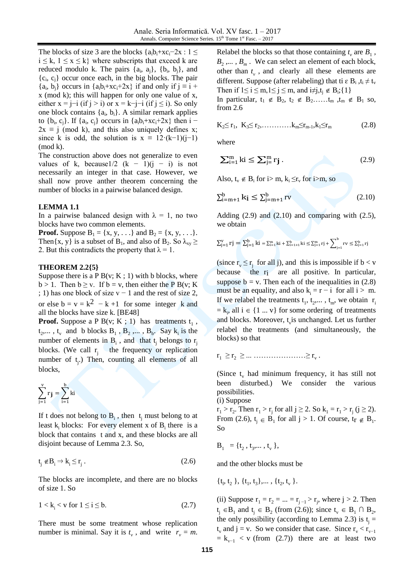The blocks of size 3 are the blocks  $\{a_i b_i + xc_i-2x : 1 \leq$  $i \leq k$ ,  $1 \leq x \leq k$ } where subscripts that exceed k are reduced modulo k. The pairs  $\{a_i, a_j\}$ ,  $\{b_i, b_j\}$ , and  ${c_i, c_j}$  occur once each, in the big blocks. The pair  $\{a_i, b_j\}$  occurs in  $\{a_i b_i + xc_i + 2x\}$  if and only if  $j \equiv i + 1$ x (mod k); this will happen for only one value of x, either  $x = j-i$  (if  $j > i$ ) or  $x = k-j-i$  (if  $j \le i$ ). So only one block contains  $\{a_i, b_i\}$ . A similar remark applies to  $\{b_i, c_j\}$ . If  $\{a_i, c_j\}$  occurs in  $\{a_i b_i + xc_i + 2x\}$  then  $i 2x \equiv j \pmod{k}$ , and this also uniquely defines x; since k is odd, the solution is  $x \equiv 12 \cdot (k-1)(j-1)$ (mod k).

The construction above does not generalize to even values of k, because1/2 (k – 1)(j – i) is not necessarily an integer in that case. However, we shall now prove anther theorem concerning the number of blocks in a pairwise balanced design.

#### **LEMMA 1.1**

In a pairwise balanced design with  $\lambda = 1$ , no two blocks have two common elements.

**Proof.** Suppose  $B_1 = \{x, y, ...\}$  and  $B_2 = \{x, y, ...\}$ . Then{x, y} is a subset of B<sub>1</sub>, and also of B<sub>2</sub>. So  $\lambda_{xy} \ge$ 2. But this contradicts the property that  $\lambda = 1$ .

#### **THEOREM 2.2{5}**

Suppose there is a P B(v; K; 1) with b blocks, where  $b > 1$ . Then  $b \ge v$ . If  $b = v$ , then either the P B(v; K ; 1) has one block of size  $v - 1$  and the rest of size 2, or else  $b = v = k^2 - k + 1$  for some integer k and all the blocks have size k. [BE48]

**Proof.** Suppose a P B(v; K ; 1) has treatments  $t_1$ ,  $t_2$ ....,  $t_v$  and b blocks  $B_1$ ,  $B_2$ ,...,  $B_b$ . Say  $k_i$  is the number of elements in  $B_i$ , and that  $t_j$  belongs to  $r_j$ blocks. (We call  $r_j$  the frequency or replication number of t<sub>j</sub>.) Then, counting all elements of all blocks,

$$
\sum_{j=1}^v r_j = \sum_{i=1}^b ki
$$

If t does not belong to  $B_i$ , then  $t_j$  must belong to at least  $k_i$  blocks: For every element x of  $B_i$  there is a block that contains t and x, and these blocks are all disjoint because of Lemma 2.3. So,

$$
t_j \notin B_i \Rightarrow k_i \le r_j. \tag{2.6}
$$

The blocks are incomplete, and there are no blocks of size 1. So

 $1 < k_i < v$  for  $1 \le i \le b$ . (2.7)

There must be some treatment whose replication number is minimal. Say it is  $t_v$ , and write  $r_v = m$ . Relabel the blocks so that those containing  $t_v$  are  $B_1$ ,  $B_2$ ,...,  $B_m$ . We can select an element of each block, other than  $t_v$ , and clearly all these elements are different. Suppose (after relabeling) that ti  $\epsilon$  B<sub>i</sub>,  $t_i \neq t$ Then if  $1 \le i \le m, 1 \le j \le m$ , and  $i \ne j, t_j \notin B_i; \{1\}$ 

In particular,  $t_1 \notin B_2$ ,  $t_2 \notin B_2$ …… $t_m$ ,  $t_m \notin B_1$  so, from 2.6

$$
K_2 \le r_1, K_3 \le r_2, \dots \dots \dots k_m \le r_{m-1}, k_1 \le r_m \tag{2.8}
$$

where

$$
\sum_{i=1}^{m} ki \le \sum_{j=1}^{m} r_j.
$$
 (2.9)

Also,  $t_v \notin B_i$  for  $i>m$ ,  $k_i \le r_v$  for  $i>m$ , so

$$
\sum_{i=m+1}^{b} k_i \le \sum_{j=m+1}^{b} rv
$$
\n(2.10)

Adding  $(2.9)$  and  $(2.10)$  and comparing with  $(2.5)$ , we obtain

$$
\textstyle \sum_{j=1}^v r j = \sum_{j=1}^b k i = \sum_{i=1}^m k i + \sum_{i=1+1}^b k i \leq \sum_{j=1}^m r j + \sum_{j=1}^b r v \leq \sum_{j=1}^b r j
$$

(since  $r_v \le r_j$  for all j), and this is impossible if  $b < v$ because the r<sub>i</sub> are all positive. In particular, suppose  $b = v$ . Then each of the inequalities in (2.8) must be an equality, and also  $k_i = r - i$  for all  $i > m$ . If we relabel the treatments  $t_1, t_2,..., t_m$ , we obtain  $r_i$  $= k_i$ , all  $i \in \{1 ... v\}$  for some ordering of treatments and blocks. Moreover,  $t<sub>v</sub>$  is unchanged. Let us further relabel the treatments (and simultaneously, the blocks) so that

 $r_1 \ge r_2 \ge ... \dots \dots \dots \dots \ge r_v$ .

(Since  $t_v$  had minimum frequency, it has still not been disturbed.) We consider the various possibilities.

(i) Suppose

 $r_1 > r_2$ . Then  $r_1 > r_j$  for all  $j \ge 2$ . So  $k_1 = r_1 > r_j$  ( $j \ge 2$ ). From (2.6),  $t_j \in B_1$  for all  $j > 1$ . Of course,  $t_r \notin B_1$ . So

$$
\mathbf{B}_1 = \{ \mathbf{t}_2, \mathbf{t}_3, \dots, \mathbf{t}_v \},
$$

and the other blocks must be

$$
\{t_1, t_2\}, \{t_1, t_3\}, \ldots, \{t_2, t_v\}.
$$

(ii) Suppose  $r_1 = r_2 = ... = r_{j-1} > r_j$ , where  $j > 2$ . Then  $t_j \in B_1$  and  $t_j \in B_2$  (from (2.6)); since  $t_v \in B_1 \cap B_2$ , the only possibility (according to Lemma 2.3) is  $t_j =$  $t_v$  and j = v. So we consider that case. Since  $r_v < r_{v-1}$  $= k_{v-1} < v$  (from (2.7)) there are at least two